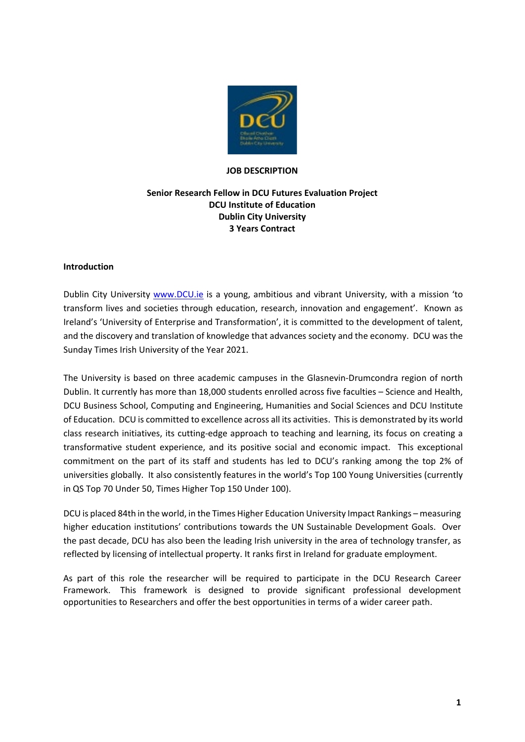

#### **JOB DESCRIPTION**

## **Senior Research Fellow in DCU Futures Evaluation Project DCU Institute of Education Dublin City University 3 Years Contract**

#### **Introduction**

Dublin City University [www.DCU.ie](http://www.dcu.ie/) is a young, ambitious and vibrant University, with a mission 'to transform lives and societies through education, research, innovation and engagement'. Known as Ireland's 'University of Enterprise and Transformation', it is committed to the development of talent, and the discovery and translation of knowledge that advances society and the economy. DCU was the Sunday Times Irish University of the Year 2021.

The University is based on three academic campuses in the Glasnevin-Drumcondra region of north Dublin. It currently has more than 18,000 students enrolled across five faculties – Science and Health, DCU Business School, Computing and Engineering, Humanities and Social Sciences and DCU Institute of Education. DCU is committed to excellence across all its activities. This is demonstrated by its world class research initiatives, its cutting-edge approach to teaching and learning, its focus on creating a transformative student experience, and its positive social and economic impact. This exceptional commitment on the part of its staff and students has led to DCU's ranking among the top 2% of universities globally. It also consistently features in the world's Top 100 Young Universities (currently in QS Top 70 Under 50, Times Higher Top 150 Under 100).

DCU is placed 84th in the world, in the Times Higher Education University Impact Rankings – measuring higher education institutions' contributions towards the UN Sustainable Development Goals. Over the past decade, DCU has also been the leading Irish university in the area of technology transfer, as reflected by licensing of intellectual property. It ranks first in Ireland for graduate employment.

As part of this role the researcher will be required to participate in the DCU Research Career Framework. This framework is designed to provide significant professional development opportunities to Researchers and offer the best opportunities in terms of a wider career path.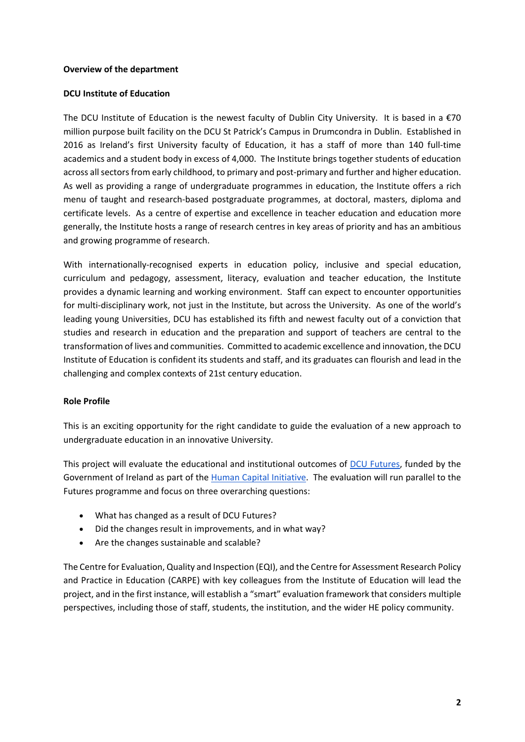#### **Overview of the department**

### **DCU Institute of Education**

The DCU Institute of Education is the newest faculty of Dublin City University. It is based in a  $\epsilon$ 70 million purpose built facility on the DCU St Patrick's Campus in Drumcondra in Dublin. Established in 2016 as Ireland's first University faculty of Education, it has a staff of more than 140 full-time academics and a student body in excess of 4,000. The Institute brings together students of education across all sectors from early childhood, to primary and post-primary and further and higher education. As well as providing a range of undergraduate programmes in education, the Institute offers a rich menu of taught and research-based postgraduate programmes, at doctoral, masters, diploma and certificate levels. As a centre of expertise and excellence in teacher education and education more generally, the Institute hosts a range of research centres in key areas of priority and has an ambitious and growing programme of research.

With internationally-recognised experts in education policy, inclusive and special education, curriculum and pedagogy, assessment, literacy, evaluation and teacher education, the Institute provides a dynamic learning and working environment. Staff can expect to encounter opportunities for multi-disciplinary work, not just in the Institute, but across the University. As one of the world's leading young Universities, DCU has established its fifth and newest faculty out of a conviction that studies and research in education and the preparation and support of teachers are central to the transformation of lives and communities. Committed to academic excellence and innovation, the DCU Institute of Education is confident its students and staff, and its graduates can flourish and lead in the challenging and complex contexts of 21st century education.

## **Role Profile**

This is an exciting opportunity for the right candidate to guide the evaluation of a new approach to undergraduate education in an innovative University.

This project will evaluate the educational and institutional outcomes of [DCU Futures,](https://supporthere.org/sites/default/files/012_dcu_futures-preparing_our_graduates_for_a_rapidly_evolving_and_unpredictable_future.pdf) funded by the Government of Ireland as part of th[e Human Capital Initiative.](https://www.dcu.ie/news/2020/oct/dcu-project-awarded-eu20-million-investment-under-government-human-capital-initiative?fbclid=IwAR3dxrgio6u0JCa395Sdy4eKKrmExyeFwI21v567u0dypiZcAKO2wRw9ECE) The evaluation will run parallel to the Futures programme and focus on three overarching questions:

- What has changed as a result of DCU Futures?
- Did the changes result in improvements, and in what way?
- Are the changes sustainable and scalable?

The Centre for Evaluation, Quality and Inspection (EQI), and the Centre for Assessment Research Policy and Practice in Education (CARPE) with key colleagues from the Institute of Education will lead the project, and in the first instance, will establish a "smart" evaluation framework that considers multiple perspectives, including those of staff, students, the institution, and the wider HE policy community.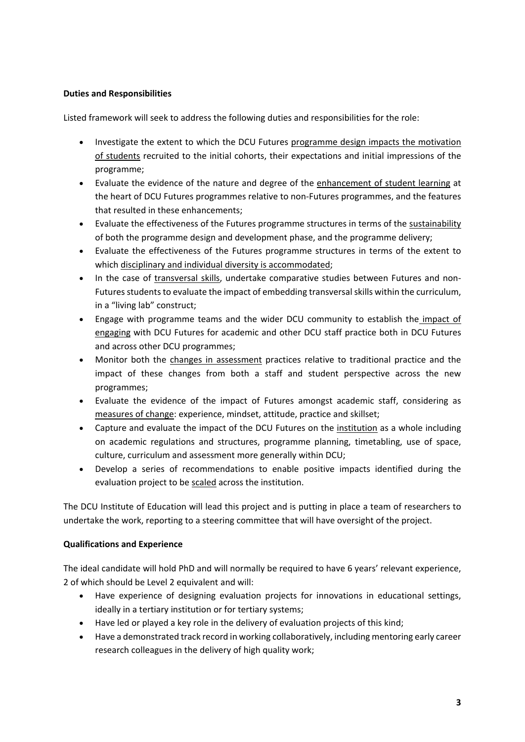# **Duties and Responsibilities**

Listed framework will seek to address the following duties and responsibilities for the role:

- Investigate the extent to which the DCU Futures programme design impacts the motivation of students recruited to the initial cohorts, their expectations and initial impressions of the programme;
- Evaluate the evidence of the nature and degree of the enhancement of student learning at the heart of DCU Futures programmes relative to non-Futures programmes, and the features that resulted in these enhancements;
- Evaluate the effectiveness of the Futures programme structures in terms of the sustainability of both the programme design and development phase, and the programme delivery;
- Evaluate the effectiveness of the Futures programme structures in terms of the extent to which disciplinary and individual diversity is accommodated;
- In the case of transversal skills, undertake comparative studies between Futures and non-Futures students to evaluate the impact of embedding transversal skills within the curriculum, in a "living lab" construct;
- Engage with programme teams and the wider DCU community to establish the impact of engaging with DCU Futures for academic and other DCU staff practice both in DCU Futures and across other DCU programmes;
- Monitor both the changes in assessment practices relative to traditional practice and the impact of these changes from both a staff and student perspective across the new programmes;
- Evaluate the evidence of the impact of Futures amongst academic staff, considering as measures of change: experience, mindset, attitude, practice and skillset;
- Capture and evaluate the impact of the DCU Futures on the institution as a whole including on academic regulations and structures, programme planning, timetabling, use of space, culture, curriculum and assessment more generally within DCU;
- Develop a series of recommendations to enable positive impacts identified during the evaluation project to be scaled across the institution.

The DCU Institute of Education will lead this project and is putting in place a team of researchers to undertake the work, reporting to a steering committee that will have oversight of the project.

# **Qualifications and Experience**

The ideal candidate will hold PhD and will normally be required to have 6 years' relevant experience, 2 of which should be Level 2 equivalent and will:

- Have experience of designing evaluation projects for innovations in educational settings, ideally in a tertiary institution or for tertiary systems;
- Have led or played a key role in the delivery of evaluation projects of this kind;
- Have a demonstrated track record in working collaboratively, including mentoring early career research colleagues in the delivery of high quality work;